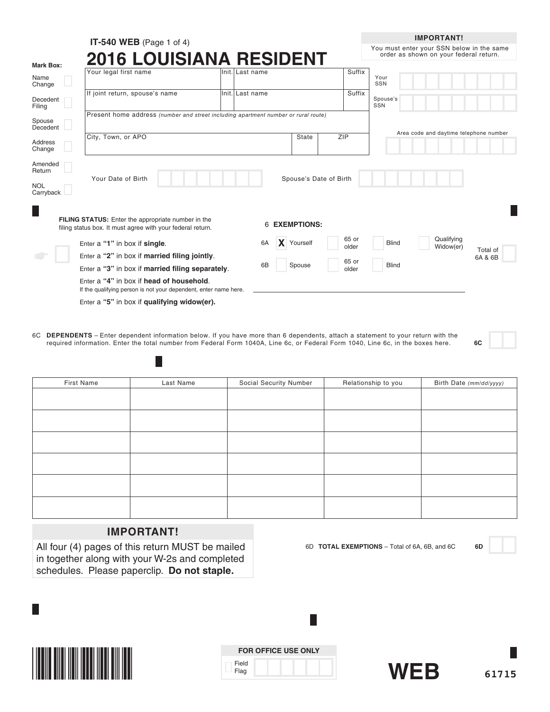|                         | <b>IT-540 WEB</b> (Page 1 of 4)                                                                                         |                  |    |                        |     |                | <b>IMPORTANT!</b>                                                                   |          |
|-------------------------|-------------------------------------------------------------------------------------------------------------------------|------------------|----|------------------------|-----|----------------|-------------------------------------------------------------------------------------|----------|
|                         | <b>2016 LOUISIANA RESIDENT</b>                                                                                          |                  |    |                        |     |                | You must enter your SSN below in the same<br>order as shown on your federal return. |          |
| <b>Mark Box:</b>        | Your legal first name                                                                                                   | lInit. Last name |    |                        |     | Suffix         |                                                                                     |          |
| Name<br>Change          |                                                                                                                         |                  |    |                        |     |                | Your<br>SSN                                                                         |          |
| Decedent<br>Filing      | If joint return, spouse's name                                                                                          | Init. Last name  |    |                        |     | Suffix         | Spouse's<br>SSN                                                                     |          |
| Spouse<br>Decedent      | Present home address (number and street including apartment number or rural route)                                      |                  |    |                        |     |                |                                                                                     |          |
| Address<br>Change       | City, Town, or APO                                                                                                      |                  |    | <b>State</b>           | ZIP |                | Area code and daytime telephone number                                              |          |
| Amended<br>Return       | Your Date of Birth                                                                                                      |                  |    | Spouse's Date of Birth |     |                |                                                                                     |          |
| <b>NOL</b><br>Carryback |                                                                                                                         |                  |    |                        |     |                |                                                                                     |          |
|                         | <b>FILING STATUS:</b> Enter the appropriate number in the<br>filing status box. It must agree with your federal return. |                  | 6  | <b>EXEMPTIONS:</b>     |     |                |                                                                                     |          |
|                         | Enter a "1" in box if single.                                                                                           |                  | 6A | <b>X</b> Yourself      |     | 65 or<br>older | Qualifying<br><b>Blind</b><br>Widow(er)                                             | Total of |
|                         | Enter a "2" in box if married filing jointly.                                                                           |                  |    |                        |     |                | 6A & 6B                                                                             |          |
|                         | Enter a "3" in box if married filing separately.                                                                        |                  | 6B | Spouse                 |     | 65 or<br>older | <b>Blind</b>                                                                        |          |
|                         | Enter a "4" in box if head of household.<br>If the qualifying person is not your dependent, enter name here.            |                  |    |                        |     |                |                                                                                     |          |
|                         | Enter a "5" in box if qualifying widow(er).                                                                             |                  |    |                        |     |                |                                                                                     |          |

6C **DEPENDENTS** – Enter dependent information below. If you have more than 6 dependents, attach a statement to your return with the required information. Enter the total number from Federal Form 1040A, Line 6c, or Federal Form 1040, Line 6c, in the boxes here. **6C**

| First Name | Last Name | Social Security Number | Relationship to you | Birth Date (mm/dd/yyyy) |
|------------|-----------|------------------------|---------------------|-------------------------|
|            |           |                        |                     |                         |
|            |           |                        |                     |                         |
|            |           |                        |                     |                         |
|            |           |                        |                     |                         |
|            |           |                        |                     |                         |
|            |           |                        |                     |                         |
|            |           |                        |                     |                         |
|            |           |                        |                     |                         |
|            |           |                        |                     |                         |
|            |           |                        |                     |                         |
|            |           |                        |                     |                         |
|            |           |                        |                     |                         |

# **IMPORTANT!**

H

All four (4) pages of this return MUST be mailed in together along with your W-2s and completed schedules. Please paperclip. **Do not staple.**



|               | <b>FOR OFFICE USE ONLY</b> |
|---------------|----------------------------|
| Field<br>Flag |                            |



6D **TOTAL EXEMPTIONS** – Total of 6A, 6B, and 6C **6D**

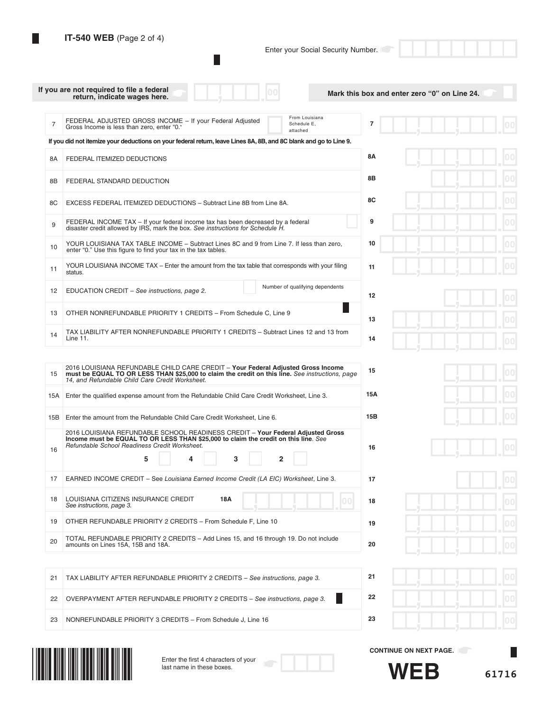$\Box$ 

П

Enter your Social Security Number.

|                | If you are not required to file a federal<br>return, indicate wages here.                                                                                                                                                                                                                                                             | Mark this box and enter zero "0" on Line 24.         |
|----------------|---------------------------------------------------------------------------------------------------------------------------------------------------------------------------------------------------------------------------------------------------------------------------------------------------------------------------------------|------------------------------------------------------|
| $\overline{7}$ | From Louisiana<br>FEDERAL ADJUSTED GROSS INCOME - If your Federal Adjusted<br>Schedule E,<br>Gross Income is less than zero, enter "0."<br>attached                                                                                                                                                                                   | 7                                                    |
|                | If you did not itemize your deductions on your federal return, leave Lines 8A, 8B, and 8C blank and go to Line 9.                                                                                                                                                                                                                     |                                                      |
| 8A             | FEDERAL ITEMIZED DEDUCTIONS                                                                                                                                                                                                                                                                                                           | <b>8A</b>                                            |
| 8B             | FEDERAL STANDARD DEDUCTION                                                                                                                                                                                                                                                                                                            | 8Β                                                   |
| 8C             | EXCESS FEDERAL ITEMIZED DEDUCTIONS - Subtract Line 8B from Line 8A.                                                                                                                                                                                                                                                                   | 8C                                                   |
| 9              | FEDERAL INCOME TAX – If your federal income tax has been decreased by a federal<br>disaster credit allowed by IRS, mark the box. See instructions for Schedule H.                                                                                                                                                                     | 9                                                    |
| 10             | YOUR LOUISIANA TAX TABLE INCOME - Subtract Lines 8C and 9 from Line 7. If less than zero,<br>enter "0." Use this figure to find your tax in the tax tables.                                                                                                                                                                           | 10                                                   |
| 11             | YOUR LOUISIANA INCOME TAX - Enter the amount from the tax table that corresponds with your filing<br>status.                                                                                                                                                                                                                          | 11                                                   |
| -12            | Number of qualifying dependents<br>EDUCATION CREDIT - See instructions, page 2.                                                                                                                                                                                                                                                       | 12                                                   |
| 13             | OTHER NONREFUNDABLE PRIORITY 1 CREDITS - From Schedule C, Line 9                                                                                                                                                                                                                                                                      | 13                                                   |
| 14             | TAX LIABILITY AFTER NONREFUNDABLE PRIORITY 1 CREDITS - Subtract Lines 12 and 13 from<br>Line 11.                                                                                                                                                                                                                                      | 14                                                   |
| 15<br>15A      | 2016 LOUISIANA REFUNDABLE CHILD CARE CREDIT - Your Federal Adjusted Gross Income<br>must be EQUAL TO OR LESS THAN \$25,000 to claim the credit on this line. See instructions, page<br>14, and Refundable Child Care Credit Worksheet.<br>Enter the qualified expense amount from the Refundable Child Care Credit Worksheet, Line 3. | 15<br>15A                                            |
| 15B            | Enter the amount from the Refundable Child Care Credit Worksheet, Line 6.                                                                                                                                                                                                                                                             | 15B                                                  |
| 16             | 2016 LOUISIANA REFUNDABLE SCHOOL READINESS CREDIT - Your Federal Adjusted Gross<br>Income must be EQUAL TO OR LESS THAN \$25,000 to claim the credit on this line. See<br>Refundable School Readiness Credit Worksheet.<br>5<br>3<br>$\overline{2}$<br>4                                                                              | 16                                                   |
| 17             | EARNED INCOME CREDIT – See Louisiana Earned Income Credit (LA EIC) Worksheet, Line 3.                                                                                                                                                                                                                                                 | 17                                                   |
| 18             | 18A<br>LOUISIANA CITIZENS INSURANCE CREDIT<br>00<br>See instructions, page 3.                                                                                                                                                                                                                                                         | 18                                                   |
| 19             | OTHER REFUNDABLE PRIORITY 2 CREDITS - From Schedule F, Line 10                                                                                                                                                                                                                                                                        | 19                                                   |
| 20             | TOTAL REFUNDABLE PRIORITY 2 CREDITS - Add Lines 15, and 16 through 19. Do not include<br>amounts on Lines 15A, 15B and 18A.                                                                                                                                                                                                           | 20                                                   |
|                |                                                                                                                                                                                                                                                                                                                                       |                                                      |
| 21             | TAX LIABILITY AFTER REFUNDABLE PRIORITY 2 CREDITS - See instructions, page 3.                                                                                                                                                                                                                                                         | 21                                                   |
| 22             | OVERPAYMENT AFTER REFUNDABLE PRIORITY 2 CREDITS - See instructions, page 3.                                                                                                                                                                                                                                                           | 22                                                   |
| 23             | NONREFUNDABLE PRIORITY 3 CREDITS - From Schedule J, Line 16                                                                                                                                                                                                                                                                           | 23                                                   |
|                | Enter the first 4 characters of your<br>last name in these boxes.                                                                                                                                                                                                                                                                     | <b>CONTINUE ON NEXT PAGE.</b><br><b>WEB</b><br>61716 |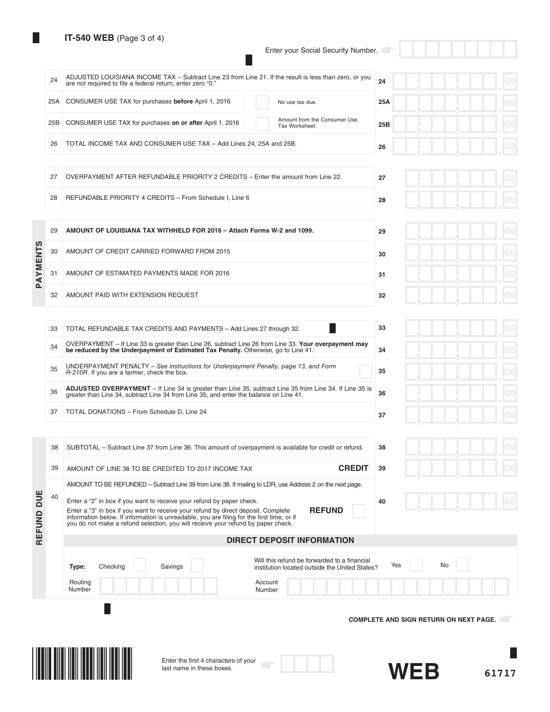# **IT-540 WEB** (Page 3 of 4)

Enter your Social Security Number.

П

|            | 24  | ADJUSTED LOUISIANA INCOME TAX - Subtract Line 23 from Line 21. If the result is less than zero, or you<br>are not required to file a federal return, enter zero "0."                                     | 24<br>00                                      |  |
|------------|-----|----------------------------------------------------------------------------------------------------------------------------------------------------------------------------------------------------------|-----------------------------------------------|--|
|            | 25A | CONSUMER USE TAX for purchases before April 1, 2016<br>No use tax due.                                                                                                                                   | 25A                                           |  |
|            | 25B | Amount from the Consumer Use<br>CONSUMER USE TAX for purchases on or after April 1, 2016<br>Tax Worksheet.                                                                                               | 25B                                           |  |
|            | 26  | TOTAL INCOME TAX AND CONSUMER USE TAX - Add Lines 24, 25A and 25B.                                                                                                                                       | 26                                            |  |
|            |     |                                                                                                                                                                                                          |                                               |  |
|            | 27  | OVERPAYMENT AFTER REFUNDABLE PRIORITY 2 CREDITS - Enter the amount from Line 22.                                                                                                                         | 27                                            |  |
|            | 28  | REFUNDABLE PRIORITY 4 CREDITS - From Schedule I, Line 6                                                                                                                                                  | 28                                            |  |
|            |     |                                                                                                                                                                                                          |                                               |  |
|            | 29  | AMOUNT OF LOUISIANA TAX WITHHELD FOR 2016 - Attach Forms W-2 and 1099.                                                                                                                                   | 29                                            |  |
|            | 30  | AMOUNT OF CREDIT CARRIED FORWARD FROM 2015                                                                                                                                                               | 30                                            |  |
| PAYMENTS   | 31  | AMOUNT OF ESTIMATED PAYMENTS MADE FOR 2016                                                                                                                                                               | 31                                            |  |
|            | 32  | AMOUNT PAID WITH EXTENSION REQUEST                                                                                                                                                                       | 00<br>32                                      |  |
|            |     |                                                                                                                                                                                                          |                                               |  |
|            | 33  | TOTAL REFUNDABLE TAX CREDITS AND PAYMENTS - Add Lines 27 through 32.                                                                                                                                     | 00<br>33                                      |  |
|            | 34  | OVERPAYMENT - If Line 33 is greater than Line 26, subtract Line 26 from Line 33. Your overpayment may<br>be reduced by the Underpayment of Estimated Tax Penalty. Otherwise, go to Line 41.              | 34                                            |  |
|            | 35  | UNDERPAYMENT PENALTY – See instructions for Underpayment Penalty, page 13, and Form<br>R-210R. If you are a farmer, check the box.                                                                       | 35                                            |  |
|            | 36  | <b>ADJUSTED OVERPAYMENT</b> – If Line 34 is greater than Line 35, subtract Line 35 from Line 34. If Line 35 is<br>greater than Line 34, subtract Line 34 from Line 35, and enter the balance on Line 41. | 00<br>36                                      |  |
|            | 37  | TOTAL DONATIONS - From Schedule D, Line 24                                                                                                                                                               | 37                                            |  |
|            |     |                                                                                                                                                                                                          |                                               |  |
|            | 38  | SUBTOTAL – Subtract Line 37 from Line 36. This amount of overpayment is available for credit or refund.                                                                                                  | 38                                            |  |
|            | 39  | <b>CREDIT</b><br>AMOUNT OF LINE 38 TO BE CREDITED TO 2017 INCOME TAX                                                                                                                                     | 39                                            |  |
|            |     | AMOUNT TO BE REFUNDED – Subtract Line 39 from Line 38. If mailing to LDR, use Address 2 on the next page.                                                                                                |                                               |  |
|            | 40  | Enter a "2" in box if you want to receive your refund by paper check.<br><b>REFUND</b><br>Enter a "3" in box if you want to receive your refund by direct deposit. Complete                              | 40                                            |  |
| REFUND DUE |     | information below. If information is unreadable, you are filing for the first time, or if<br>you do not make a refund selection, you will receive your refund by paper check.                            |                                               |  |
|            |     | <b>DIRECT DEPOSIT INFORMATION</b>                                                                                                                                                                        |                                               |  |
|            |     | Will this refund be forwarded to a financial<br>Savings<br>Type:<br>Checking<br>institution located outside the United States?                                                                           | No<br>Yes                                     |  |
|            |     | Routing<br>Account<br>Number<br>Number                                                                                                                                                                   |                                               |  |
|            |     |                                                                                                                                                                                                          |                                               |  |
|            |     |                                                                                                                                                                                                          | <b>COMPLETE AND SIGN RETURN ON NEXT PAGE.</b> |  |
|            |     |                                                                                                                                                                                                          |                                               |  |
|            |     |                                                                                                                                                                                                          |                                               |  |
|            |     | Enter the first 4 characters of your<br>last name in these boxes.                                                                                                                                        | <b>WEB</b><br>61717                           |  |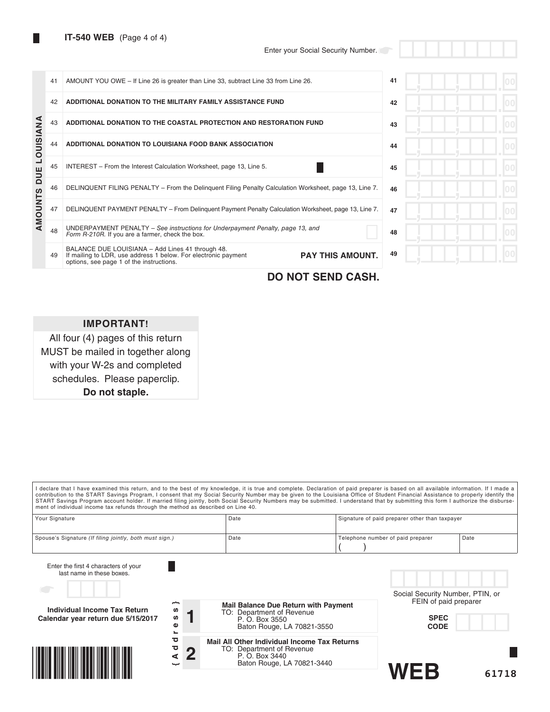|           | 41 | AMOUNT YOU OWE - If Line 26 is greater than Line 33, subtract Line 33 from Line 26.                                                                                                       | 41 |  |
|-----------|----|-------------------------------------------------------------------------------------------------------------------------------------------------------------------------------------------|----|--|
|           | 42 | ADDITIONAL DONATION TO THE MILITARY FAMILY ASSISTANCE FUND                                                                                                                                | 42 |  |
|           | 43 | ADDITIONAL DONATION TO THE COASTAL PROTECTION AND RESTORATION FUND                                                                                                                        | 43 |  |
| LOUISIANA | 44 | ADDITIONAL DONATION TO LOUISIANA FOOD BANK ASSOCIATION                                                                                                                                    | 44 |  |
| DUE       | 45 | INTEREST – From the Interest Calculation Worksheet, page 13, Line 5.                                                                                                                      | 45 |  |
|           | 46 | DELINQUENT FILING PENALTY – From the Delinguent Filing Penalty Calculation Worksheet, page 13, Line 7.                                                                                    | 46 |  |
| AMOUNTS   | 47 | DELINQUENT PAYMENT PENALTY - From Delinguent Payment Penalty Calculation Worksheet, page 13, Line 7.                                                                                      | 47 |  |
|           | 48 | UNDERPAYMENT PENALTY – See instructions for Underpayment Penalty, page 13, and<br>Form R-210R. If you are a farmer, check the box.                                                        | 48 |  |
|           | 49 | BALANCE DUE LOUISIANA - Add Lines 41 through 48.<br><b>PAY THIS AMOUNT.</b><br>If mailing to LDR, use address 1 below. For electronic payment<br>options, see page 1 of the instructions. | 49 |  |

**DO NOT SEND CASH.**

# **IMPORTANT!**

All four (4) pages of this return MUST be mailed in together along with your W-2s and completed schedules. Please paperclip. **Do not staple.**

I declare that I have examined this return, and to the best of my knowledge, it is true and complete. Declaration of paid preparer is based on all available information. If I made a contribution to the START Savings Program, I consent that my Social Security Number may be given to the Louisiana Office of Student Financial Assistance to properly identify the<br>START Savings Program account holder. If mar

| Your Signature                                          | Date | Signature of paid preparer other than taxpayer |      |
|---------------------------------------------------------|------|------------------------------------------------|------|
|                                                         |      |                                                |      |
| Spouse's Signature (If filing jointly, both must sign.) | Date | Telephone number of paid preparer              | Date |
|                                                         |      |                                                |      |

| Enter the first 4 characters of your<br>last name in these boxes.         |                        |   |                                                                                                                                  |                                                                                         |       |
|---------------------------------------------------------------------------|------------------------|---|----------------------------------------------------------------------------------------------------------------------------------|-----------------------------------------------------------------------------------------|-------|
| т.,<br>Individual Income Tax Return<br>Calendar year return due 5/15/2017 | ∼<br>ဖာ<br>w<br>Φ<br>∼ |   | <b>Mail Balance Due Return with Payment</b><br>TO: Department of Revenue<br>P. O. Box 3550<br>Baton Rouge, LA 70821-3550         | Social Security Number, PTIN, or<br>FEIN of paid preparer<br><b>SPEC</b><br><b>CODE</b> |       |
|                                                                           | ਠ<br>ਠ<br>⋖<br>ىب      | G | <b>Mail All Other Individual Income Tax Returns</b><br>TO: Department of Revenue<br>P. O. Box 3440<br>Baton Rouge, LA 70821-3440 | WFR                                                                                     | 61718 |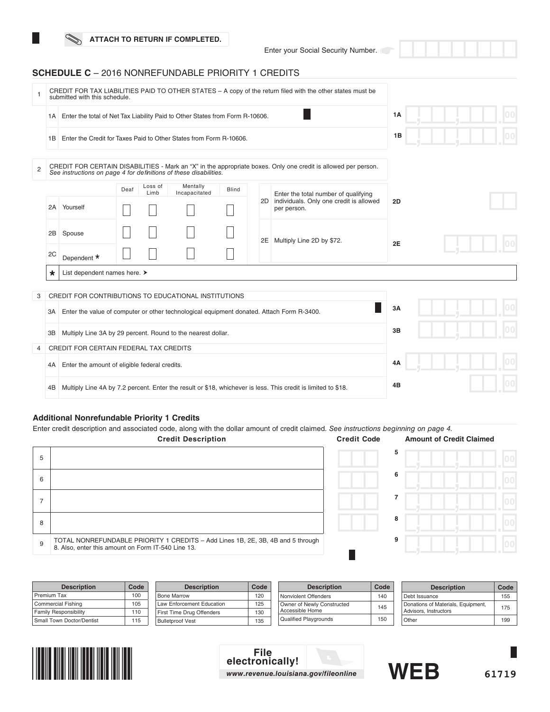Enter your Social Security Number.

## **SCHEDULE C** – 2016 NONREFUNDABLE PRIORITY 1 CREDITS

|                |                                                                                                 | submitted with this schedule.                                                                                 |      | CREDIT FOR TAX LIABILITIES PAID TO OTHER STATES - A copy of the return filed with the other states must be |                           |              |  |                                                                                                                |    |  |  |
|----------------|-------------------------------------------------------------------------------------------------|---------------------------------------------------------------------------------------------------------------|------|------------------------------------------------------------------------------------------------------------|---------------------------|--------------|--|----------------------------------------------------------------------------------------------------------------|----|--|--|
|                | Enter the total of Net Tax Liability Paid to Other States from Form R-10606.<br>1A              |                                                                                                               |      |                                                                                                            |                           |              |  |                                                                                                                |    |  |  |
|                | 1B                                                                                              | Enter the Credit for Taxes Paid to Other States from Form R-10606.                                            |      |                                                                                                            |                           |              |  |                                                                                                                | 1B |  |  |
| $\overline{2}$ |                                                                                                 | See instructions on page 4 for definitions of these disabilities.                                             |      |                                                                                                            |                           |              |  | CREDIT FOR CERTAIN DISABILITIES - Mark an "X" in the appropriate boxes. Only one credit is allowed per person. |    |  |  |
|                |                                                                                                 | 2A Yourself                                                                                                   | Deaf | Loss of<br>Limb                                                                                            | Mentally<br>Incapacitated | <b>Blind</b> |  | Enter the total number of qualifying<br>2D individuals. Only one credit is allowed<br>per person.              | 2D |  |  |
|                | 2B                                                                                              | Spouse                                                                                                        |      |                                                                                                            |                           |              |  | 2E Multiply Line 2D by \$72.                                                                                   | 2E |  |  |
|                | 2C                                                                                              | Dependent *                                                                                                   |      |                                                                                                            |                           |              |  |                                                                                                                |    |  |  |
|                | $\star$                                                                                         | List dependent names here. >                                                                                  |      |                                                                                                            |                           |              |  |                                                                                                                |    |  |  |
| 3              |                                                                                                 | CREDIT FOR CONTRIBUTIONS TO EDUCATIONAL INSTITUTIONS                                                          |      |                                                                                                            |                           |              |  |                                                                                                                |    |  |  |
|                | Enter the value of computer or other technological equipment donated. Attach Form R-3400.<br>3A |                                                                                                               |      |                                                                                                            |                           |              |  |                                                                                                                | 3A |  |  |
|                | ЗB                                                                                              | Multiply Line 3A by 29 percent. Round to the nearest dollar.                                                  |      |                                                                                                            |                           |              |  |                                                                                                                | 3B |  |  |
| 4              |                                                                                                 | CREDIT FOR CERTAIN FEDERAL TAX CREDITS                                                                        |      |                                                                                                            |                           |              |  |                                                                                                                |    |  |  |
|                | 4A                                                                                              | Enter the amount of eligible federal credits.                                                                 |      |                                                                                                            |                           |              |  |                                                                                                                |    |  |  |
|                | 4B                                                                                              | Multiply Line 4A by 7.2 percent. Enter the result or \$18, whichever is less. This credit is limited to \$18. |      | 4B                                                                                                         |                           |              |  |                                                                                                                |    |  |  |

## **Additional Nonrefundable Priority 1 Credits**

Enter credit description and associated code, along with the dollar amount of credit claimed. *See instructions beginning on page 4.*

|   | <b>Credit Description</b>                                                                                                             | <b>Credit Code</b> | <b>Amount of Credit Claimed</b> |  |
|---|---------------------------------------------------------------------------------------------------------------------------------------|--------------------|---------------------------------|--|
| 5 |                                                                                                                                       | 5                  |                                 |  |
| 6 |                                                                                                                                       | 6                  |                                 |  |
|   |                                                                                                                                       |                    |                                 |  |
| 8 |                                                                                                                                       | 8                  |                                 |  |
| 9 | TOTAL NONREFUNDABLE PRIORITY 1 CREDITS - Add Lines 1B, 2E, 3B, 4B and 5 through<br>8. Also, enter this amount on Form IT-540 Line 13. | 9                  |                                 |  |
|   |                                                                                                                                       |                    |                                 |  |

| <b>Description</b>           | Code | <b>Description</b>        | Code | <b>Description</b>           | Code | <b>Description</b>                 | Code |
|------------------------------|------|---------------------------|------|------------------------------|------|------------------------------------|------|
| Premium Tax                  | 100  | <b>Bone Marrow</b>        | 120  | Nonviolent Offenders         | 140  | Debt Issuance                      | 155  |
| Commercial Fishing           | 105  | Law Enforcement Education | 125  | Owner of Newly Constructed   | 145  | Donations of Materials, Equipment, | 175  |
| <b>Family Responsibility</b> | 110  | First Time Drug Offenders | 130  | Accessible Home              |      | <b>Advisors, Instructors</b>       |      |
| Small Town Doctor/Dentist    | 115  | <b>Bulletproof Vest</b>   | 135  | <b>Qualified Playgrounds</b> | 150  | Other                              | 199  |



# **File electronically!** *www.revenue.louisiana.gov/fileonline* **WEB**



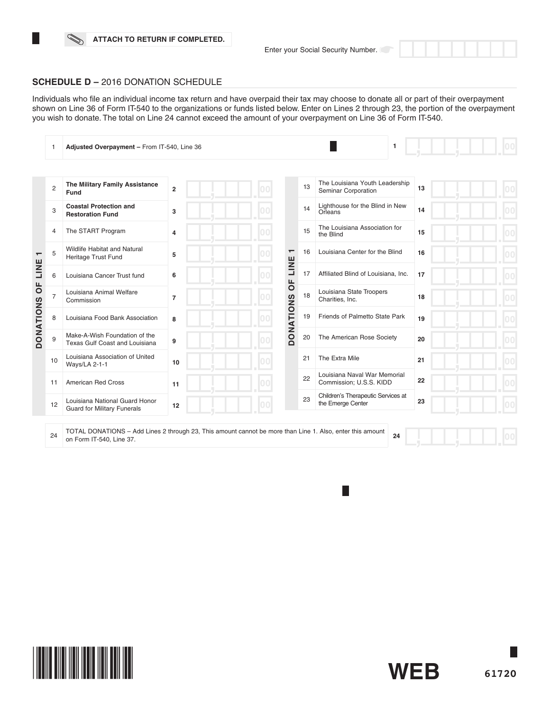H



#### **SCHEDULE D –** 2016 DONATION SCHEDULE

Individuals who file an individual income tax return and have overpaid their tax may choose to donate all or part of their overpayment shown on Line 36 of Form IT-540 to the organizations or funds listed below. Enter on Lines 2 through 23, the portion of the overpayment you wish to donate. The total on Line 24 cannot exceed the amount of your overpayment on Line 36 of Form IT-540.

|                                  |                | Adjusted Overpayment - From IT-540, Line 36                          |                |    |                        |                                                         | 1  |  |
|----------------------------------|----------------|----------------------------------------------------------------------|----------------|----|------------------------|---------------------------------------------------------|----|--|
|                                  |                |                                                                      |                |    |                        |                                                         |    |  |
|                                  | $\overline{2}$ | The Military Family Assistance<br>Fund                               | $\overline{2}$ |    | 13                     | The Louisiana Youth Leadership<br>Seminar Corporation   | 13 |  |
|                                  | 3              | <b>Coastal Protection and</b><br><b>Restoration Fund</b>             | 3              |    | 14                     | Lighthouse for the Blind in New<br>Orleans              | 14 |  |
|                                  | 4              | The START Program                                                    | $\overline{4}$ | nn | 15                     | The Louisiana Association for<br>the Blind              | 15 |  |
| $\overline{\phantom{0}}$<br>LINE | 5              | Wildlife Habitat and Natural<br>Heritage Trust Fund                  | 5              |    | 16<br>$\mathbf \tau$   | Louisiana Center for the Blind                          | 16 |  |
|                                  | 6              | Louisiana Cancer Trust fund                                          | 6              |    | LINE<br>17<br>ЪP       | Affiliated Blind of Louisiana, Inc.                     | 17 |  |
| $\overline{0}$                   | 7              | Louisiana Animal Welfare<br>Commission                               | $\overline{7}$ |    | 18                     | Louisiana State Troopers<br>Charities, Inc.             | 18 |  |
| <b>DONATIONS</b>                 | 8              | Louisiana Food Bank Association                                      | 8              |    | <b>DONATIONS</b><br>19 | Friends of Palmetto State Park                          | 19 |  |
|                                  | 9              | Make-A-Wish Foundation of the<br>Texas Gulf Coast and Louisiana      | 9              |    | 20                     | The American Rose Society                               | 20 |  |
|                                  | 10             | Louisiana Association of United<br>Ways/LA 2-1-1                     | 10             | nn | 21                     | The Extra Mile                                          | 21 |  |
|                                  | 11             | American Red Cross                                                   | 11             |    | 22                     | Louisiana Naval War Memorial<br>Commission; U.S.S. KIDD | 22 |  |
|                                  | 12             | Louisiana National Guard Honor<br><b>Guard for Military Funerals</b> | 12             |    | 23                     | Children's Therapeutic Services at<br>the Emerge Center | 23 |  |
|                                  |                |                                                                      |                |    |                        |                                                         |    |  |

24 TOTAL DONATIONS – Add Lines 2 through 23, This amount cannot be more than Line 1. Also, enter this amount on Form IT-540, Line 37. **24**

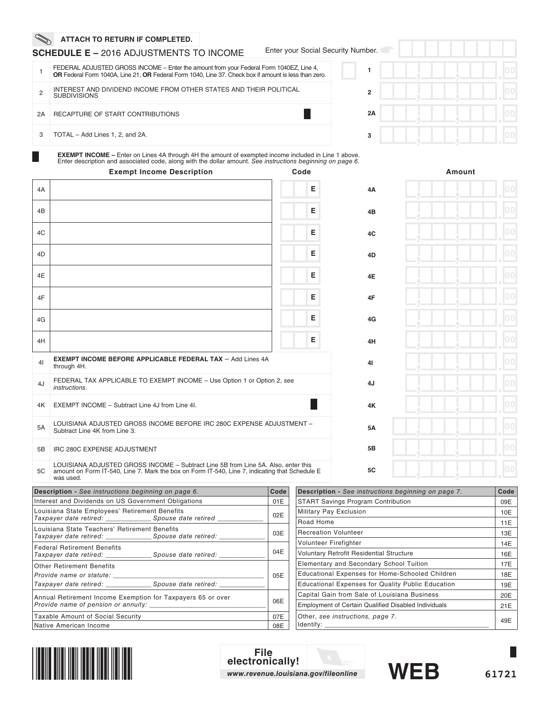## **SCHEDULE E –** 2016 ADJUSTMENTS TO INCOME

Enter your Social Security Number.

|    | FEDERAL ADJUSTED GROSS INCOME – Enter the amount from your Federal Form 1040EZ, Line 4,<br>OR Federal Form 1040A, Line 21, OR Federal Form 1040, Line 37. Check box if amount is less than zero. |
|----|--------------------------------------------------------------------------------------------------------------------------------------------------------------------------------------------------|
|    | INTEREST AND DIVIDEND INCOME FROM OTHER STATES AND THEIR POLITICAL<br><b>SUBDIVISIONS</b>                                                                                                        |
| 2A | RECAPTURE OF START CONTRIBUTIONS                                                                                                                                                                 |
| 3  | TOTAL - Add Lines 1, 2, and 2A.                                                                                                                                                                  |

| $\mathsf{per}$ . $\Box$ |  |  |   |                |
|-------------------------|--|--|---|----------------|
|                         |  |  | ш | 0 <sup>0</sup> |
| $\overline{2}$          |  |  |   | 00             |
| 2A                      |  |  | ш | 0 <sup>0</sup> |
| 3                       |  |  | п | 0 <sup>0</sup> |

**EXEMPT INCOME –** Enter on Lines 4A through 4H the amount of exempted income included in Line 1 above. Enter description and associated code, along with the dollar amount. *See instructions beginning on page 6.*

|    | <b>Exempt Income Description</b>                                                                                                                                                                 | Code |           | Amount |
|----|--------------------------------------------------------------------------------------------------------------------------------------------------------------------------------------------------|------|-----------|--------|
| 4A |                                                                                                                                                                                                  | E    | 4A        | 00     |
| 4B |                                                                                                                                                                                                  | E    | 4B        | 00     |
| 4C |                                                                                                                                                                                                  | E    | 4C        | 00     |
| 4D |                                                                                                                                                                                                  | E    | 4D        | 00     |
| 4E |                                                                                                                                                                                                  | E    | 4E        | 00     |
| 4F |                                                                                                                                                                                                  | E    | 4F        | 00     |
| 4G |                                                                                                                                                                                                  | E    | 4G        | 00     |
| 4H |                                                                                                                                                                                                  | E    | 4H        | 00     |
| 41 | <b>EXEMPT INCOME BEFORE APPLICABLE FEDERAL TAX - Add Lines 4A</b><br>through 4H.                                                                                                                 |      | 41        | 00     |
| 4J | FEDERAL TAX APPLICABLE TO EXEMPT INCOME - Use Option 1 or Option 2, see<br>instructions.                                                                                                         |      | 4J        | 00     |
| 4K | EXEMPT INCOME - Subtract Line 4J from Line 4I.                                                                                                                                                   |      | 4K        | 00     |
| 5A | LOUISIANA ADJUSTED GROSS INCOME BEFORE IRC 280C EXPENSE ADJUSTMENT -<br>Subtract Line 4K from Line 3.                                                                                            |      | 5A        | 00     |
| 5B | IRC 280C EXPENSE ADJUSTMENT                                                                                                                                                                      |      | 5B        | 00     |
| 5C | LOUISIANA ADJUSTED GROSS INCOME - Subtract Line 5B from Line 5A. Also, enter this<br>amount on Form IT-540, Line 7. Mark the box on Form IT-540, Line 7, indicating that Schedule E<br>was used. |      | <b>5C</b> | 00     |

| <b>Description</b> - See instructions beginning on page 6.                                                                        | Code |  |
|-----------------------------------------------------------------------------------------------------------------------------------|------|--|
| Interest and Dividends on US Government Obligations                                                                               |      |  |
| Louisiana State Employees' Retirement Benefits                                                                                    | 02E  |  |
| Louisiana State Teachers' Retirement Benefits<br>Taxpayer date retired: ________________________Spouse date retired: ____________ | 03E  |  |
| <b>Federal Retirement Benefits</b><br>Taxpayer date retired: Spouse date retired:                                                 | 04E  |  |
| <b>Other Retirement Benefits</b><br>Provide name or statute:<br>Taxpayer date retired: Spouse date retired:                       | 05E  |  |
| Annual Retirement Income Exemption for Taxpayers 65 or over                                                                       | 06E  |  |
| Taxable Amount of Social Security                                                                                                 | 07E  |  |
| Native American Income                                                                                                            | 08E  |  |

| <b>Description -</b> See instructions beginning on page 7.  | Code |
|-------------------------------------------------------------|------|
| <b>START Savings Program Contribution</b>                   | 09E  |
| Military Pay Exclusion                                      | 10E  |
| Road Home                                                   | 11E  |
| <b>Recreation Volunteer</b>                                 | 13E  |
| Volunteer Firefighter                                       | 14E  |
| <b>Voluntary Retrofit Residential Structure</b>             | 16E  |
| Elementary and Secondary School Tuition                     | 17E  |
| Educational Expenses for Home-Schooled Children             | 18E  |
| <b>Educational Expenses for Quality Public Education</b>    | 19E  |
| Capital Gain from Sale of Louisiana Business                | 20E  |
| <b>Employment of Certain Qualified Disabled Individuals</b> | 21E  |
| Other, see instructions, page 7.<br>Identify:               | 49E  |



**File electronically!** *www.revenue.louisiana.gov/fileonline* **WEB**

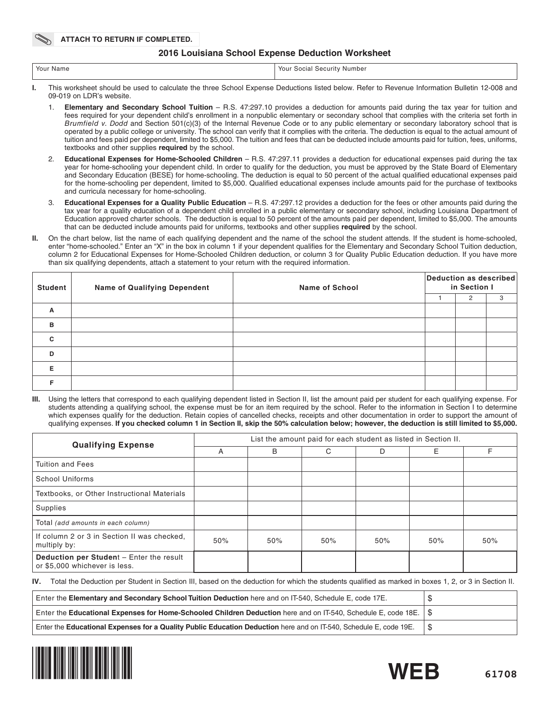#### **2016 Louisiana School Expense Deduction Worksheet**

| 'Your Name<br>Your<br>' Security Number<br>Social |
|---------------------------------------------------|
|---------------------------------------------------|

- **I.** This worksheet should be used to calculate the three School Expense Deductions listed below. Refer to Revenue Information Bulletin 12-008 and 09-019 on LDR's website.
	- 1. **Elementary and Secondary School Tuition** R.S. 47:297.10 provides a deduction for amounts paid during the tax year for tuition and fees required for your dependent child's enrollment in a nonpublic elementary or secondary school that complies with the criteria set forth in *Brumfield v. Dodd* and Section 501(c)(3) of the Internal Revenue Code or to any public elementary or secondary laboratory school that is operated by a public college or university. The school can verify that it complies with the criteria. The deduction is equal to the actual amount of tuition and fees paid per dependent, limited to \$5,000. The tuition and fees that can be deducted include amounts paid for tuition, fees, uniforms, textbooks and other supplies **required** by the school.
	- 2. **Educational Expenses for Home-Schooled Children** R.S. 47:297.11 provides a deduction for educational expenses paid during the tax year for home-schooling your dependent child. In order to qualify for the deduction, you must be approved by the State Board of Elementary and Secondary Education (BESE) for home-schooling. The deduction is equal to 50 percent of the actual qualified educational expenses paid for the home-schooling per dependent, limited to \$5,000. Qualified educational expenses include amounts paid for the purchase of textbooks and curricula necessary for home-schooling.
	- 3. **Educational Expenses for a Quality Public Education** R.S. 47:297.12 provides a deduction for the fees or other amounts paid during the tax year for a quality education of a dependent child enrolled in a public elementary or secondary school, including Louisiana Department of Education approved charter schools. The deduction is equal to 50 percent of the amounts paid per dependent, limited to \$5,000. The amounts that can be deducted include amounts paid for uniforms, textbooks and other supplies **required** by the school.
- **II.** On the chart below, list the name of each qualifying dependent and the name of the school the student attends. If the student is home-schooled, enter "home-schooled." Enter an "X" in the box in column 1 if your dependent qualifies for the Elementary and Secondary School Tuition deduction, column 2 for Educational Expenses for Home-Schooled Children deduction, or column 3 for Quality Public Education deduction. If you have more than six qualifying dependents, attach a statement to your return with the required information.

| <b>Student</b> | <b>Name of Qualifying Dependent</b> | <b>Name of School</b> |  | Deduction as described<br>in Section I |   |  |
|----------------|-------------------------------------|-----------------------|--|----------------------------------------|---|--|
|                |                                     |                       |  | 2                                      | 3 |  |
| A              |                                     |                       |  |                                        |   |  |
| B              |                                     |                       |  |                                        |   |  |
| C              |                                     |                       |  |                                        |   |  |
| D              |                                     |                       |  |                                        |   |  |
| Е              |                                     |                       |  |                                        |   |  |
|                |                                     |                       |  |                                        |   |  |

**III.** Using the letters that correspond to each qualifying dependent listed in Section II, list the amount paid per student for each qualifying expense. For students attending a qualifying school, the expense must be for an item required by the school. Refer to the information in Section I to determine which expenses qualify for the deduction. Retain copies of cancelled checks, receipts and other documentation in order to support the amount of qualifying expenses. **If you checked column 1 in Section II, skip the 50% calculation below; however, the deduction is still limited to \$5,000.**

| <b>Qualifying Expense</b>                                                        | List the amount paid for each student as listed in Section II. |     |     |     |     |     |
|----------------------------------------------------------------------------------|----------------------------------------------------------------|-----|-----|-----|-----|-----|
|                                                                                  | A                                                              | B   | С   | D   | E   | F   |
| Tuition and Fees                                                                 |                                                                |     |     |     |     |     |
| <b>School Uniforms</b>                                                           |                                                                |     |     |     |     |     |
| Textbooks, or Other Instructional Materials                                      |                                                                |     |     |     |     |     |
| Supplies                                                                         |                                                                |     |     |     |     |     |
| Total (add amounts in each column)                                               |                                                                |     |     |     |     |     |
| If column 2 or 3 in Section II was checked.<br>multiply by:                      | 50%                                                            | 50% | 50% | 50% | 50% | 50% |
| <b>Deduction per Student - Enter the result</b><br>or \$5,000 whichever is less. |                                                                |     |     |     |     |     |

**IV.** Total the Deduction per Student in Section III, based on the deduction for which the students qualified as marked in boxes 1, 2, or 3 in Section II.

| Enter the Elementary and Secondary School Tuition Deduction here and on IT-540, Schedule E, code 17E.              |  |
|--------------------------------------------------------------------------------------------------------------------|--|
| Enter the Educational Expenses for Home-Schooled Children Deduction here and on IT-540, Schedule E, code 18E.   \$ |  |
| Enter the Educational Expenses for a Quality Public Education Deduction here and on IT-540, Schedule E, code 19E.  |  |



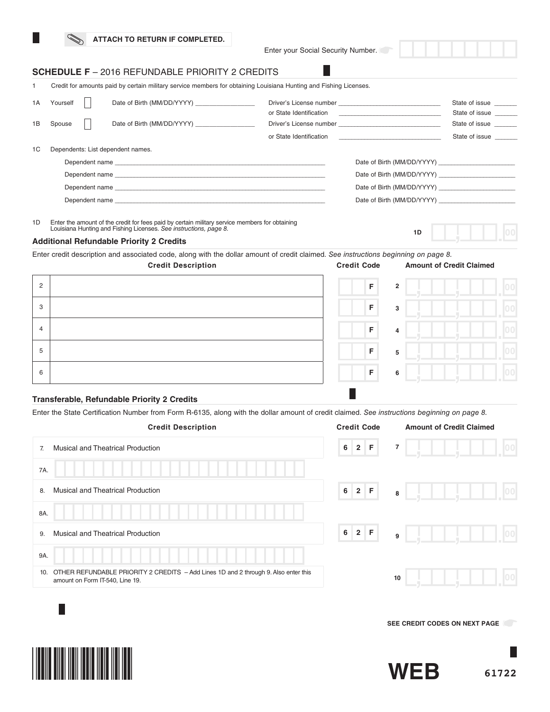Enter your Social Security Number.

# **SCHEDULE F** – 2016 REFUNDABLE PRIORITY 2 CREDITS

1 Credit for amounts paid by certain military service members for obtaining Louisiana Hunting and Fishing Licenses.

| 1A | Yourself | Date of Birth (MM/DD/YYYY)        |                         |                                                             | State of issue<br>State of issue |
|----|----------|-----------------------------------|-------------------------|-------------------------------------------------------------|----------------------------------|
| 1B | Spouse   | Date of Birth (MM/DD/YYYY)        |                         |                                                             | State of issue                   |
|    |          |                                   | or State Identification | the control of the control of the control of the control of | State of issue                   |
| 1C |          | Dependents: List dependent names. |                         |                                                             |                                  |
|    |          |                                   |                         | Date of Birth (MM/DD/YYYY)                                  |                                  |
|    |          |                                   |                         | Date of Birth (MM/DD/YYYY)                                  |                                  |
|    |          |                                   |                         |                                                             |                                  |
|    |          |                                   |                         |                                                             |                                  |
|    |          |                                   |                         |                                                             |                                  |

1D Enter the amount of the credit for fees paid by certain military service members for obtaining Louisiana Hunting and Fishing Licenses. *See instructions, page 8.*

#### **Additional Refundable Priority 2 Credits**

Enter credit description and associated code, along with the dollar amount of credit claimed. *See instructions beginning on page 8.*

|                | <b>Credit Description</b> | <b>Credit Code</b>            | <b>Amount of Credit Claimed</b> |  |
|----------------|---------------------------|-------------------------------|---------------------------------|--|
| $\overline{2}$ |                           | $\mathsf F$<br>$\overline{2}$ |                                 |  |
| 3              |                           | $\mathsf F$<br>3              |                                 |  |
| $\overline{4}$ |                           | F<br>4                        |                                 |  |
| 5              |                           | $\mathsf F$<br>5              |                                 |  |
| 6              |                           | $\mathsf F$<br>6              |                                 |  |

## **Transferable, Refundable Priority 2 Credits**

Enter the State Certification Number from Form R-6135, along with the dollar amount of credit claimed. *See instructions beginning on page 8.*

| <b>Credit Description</b>                                                                                                     | <b>Credit Code</b>                 | <b>Amount of Credit Claimed</b> |
|-------------------------------------------------------------------------------------------------------------------------------|------------------------------------|---------------------------------|
| <b>Musical and Theatrical Production</b><br>7.                                                                                | $\mathsf F$<br>6<br>2 <sup>1</sup> | $\overline{7}$                  |
| 7A.                                                                                                                           |                                    |                                 |
| <b>Musical and Theatrical Production</b><br>8.                                                                                | 2 F<br>6                           | 100<br>8                        |
| 8A.                                                                                                                           |                                    |                                 |
| <b>Musical and Theatrical Production</b><br>9.                                                                                | $6$   2   F<br>9                   |                                 |
| 9A.                                                                                                                           |                                    |                                 |
| OTHER REFUNDABLE PRIORITY 2 CREDITS - Add Lines 1D and 2 through 9. Also enter this<br>10.<br>amount on Form IT-540, Line 19. |                                    | 10                              |
|                                                                                                                               |                                    |                                 |

**SEE CREDIT CODES ON NEXT PAGE** 

**1D**



**61722**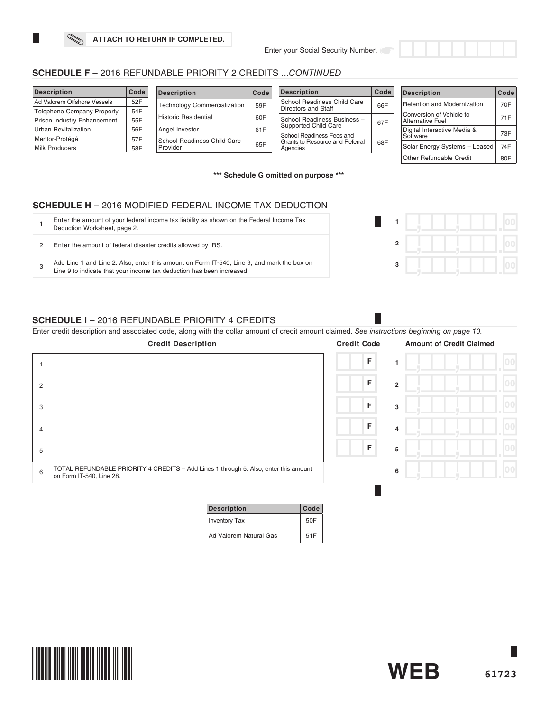

| <b>Description</b>                | Code | <b>Description</b>                  | Code | Code<br><b>Description</b>                                   |     | <b>Description</b>            | Code |
|-----------------------------------|------|-------------------------------------|------|--------------------------------------------------------------|-----|-------------------------------|------|
| Ad Valorem Offshore Vessels       | 52F  | <b>Technology Commercialization</b> | 59F  | School Readiness Child Care                                  | 66F | Retention and Modernization   | 70F  |
| <b>Telephone Company Property</b> | 54F  |                                     |      | Directors and Staff                                          |     | Conversion of Vehicle to      |      |
| Prison Industry Enhancement       | 55F  | <b>Historic Residential</b>         | 60F  | School Readiness Business -<br>67F                           |     | Alternative Fuel              | 71F  |
| Urban Revitalization              | 56F  | Angel Investor                      | 61F  | Supported Child Care                                         |     | Digital Interactive Media &   | 73F  |
| Mentor-Protégé                    | 57F  | School Readiness Child Care         |      | School Readiness Fees and<br>Grants to Resource and Referral |     | Software                      |      |
| <b>Milk Producers</b>             | 58F  | Provider                            | 65F  | Agencies                                                     | 68F | Solar Energy Systems - Leased | 74F  |
|                                   |      |                                     |      |                                                              |     | Other Refundable Credit       | 80F  |

**\*\*\* Schedule G omitted on purpose \*\*\***

# **SCHEDULE H –** 2016 MODIFIED FEDERAL INCOME TAX DEDUCTION

| Enter the amount of your federal income tax liability as shown on the Federal Income Tax<br>Deduction Worksheet, page 2.                                            |  |  |
|---------------------------------------------------------------------------------------------------------------------------------------------------------------------|--|--|
| Enter the amount of federal disaster credits allowed by IRS.                                                                                                        |  |  |
| Add Line 1 and Line 2. Also, enter this amount on Form IT-540, Line 9, and mark the box on<br>Line 9 to indicate that your income tax deduction has been increased. |  |  |

## **SCHEDULE I** – 2016 REFUNDABLE PRIORITY 4 CREDITS

Enter credit description and associated code, along with the dollar amount of credit amount claimed. *See instructions beginning on page 10.*

| F<br>F<br>$\overline{2}$<br>2<br> 00 <br>F<br>3<br>3<br>F<br>4<br>$\overline{4}$<br>F<br>5<br>5<br>TOTAL REFUNDABLE PRIORITY 4 CREDITS - Add Lines 1 through 5. Also, enter this amount<br>6<br>6<br>on Form IT-540, Line 28. | <b>Credit Description</b> | <b>Credit Code</b> | <b>Amount of Credit Claimed</b> |
|-------------------------------------------------------------------------------------------------------------------------------------------------------------------------------------------------------------------------------|---------------------------|--------------------|---------------------------------|
|                                                                                                                                                                                                                               |                           |                    |                                 |
|                                                                                                                                                                                                                               |                           |                    |                                 |
|                                                                                                                                                                                                                               |                           |                    |                                 |
|                                                                                                                                                                                                                               |                           |                    |                                 |
|                                                                                                                                                                                                                               |                           |                    |                                 |
|                                                                                                                                                                                                                               |                           |                    |                                 |

| <b>Description</b>     | Code |
|------------------------|------|
| <b>Inventory Tax</b>   | 50F  |
| Ad Valorem Natural Gas | 51F  |

**61723**

**WEB**

L

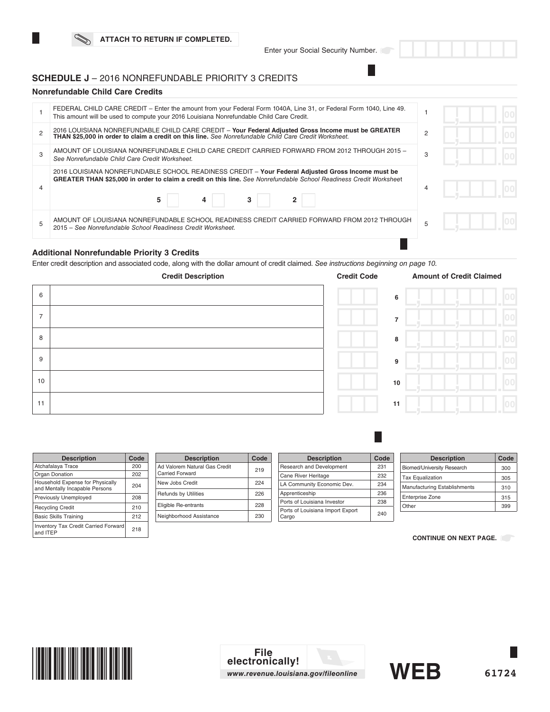## **SCHEDULE J** – 2016 NONREFUNDABLE PRIORITY 3 CREDITS

#### **Nonrefundable Child Care Credits**

| FEDERAL CHILD CARE CREDIT – Enter the amount from your Federal Form 1040A, Line 31, or Federal Form 1040, Line 49.<br>This amount will be used to compute your 2016 Louisiana Nonrefundable Child Care Credit.                    |   |  |
|-----------------------------------------------------------------------------------------------------------------------------------------------------------------------------------------------------------------------------------|---|--|
| 2016 LOUISIANA NONREFUNDABLE CHILD CARE CREDIT - Your Federal Adjusted Gross Income must be GREATER<br>THAN \$25,000 in order to claim a credit on this line. See Nonrefundable Child Care Credit Worksheet.                      | 2 |  |
| AMOUNT OF LOUISIANA NONREFUNDABLE CHILD CARE CREDIT CARRIED FORWARD FROM 2012 THROUGH 2015 -<br>See Nonrefundable Child Care Credit Worksheet.                                                                                    | 3 |  |
| 2016 LOUISIANA NONREFUNDABLE SCHOOL READINESS CREDIT - Your Federal Adjusted Gross Income must be<br>GREATER THAN \$25,000 in order to claim a credit on this line. See Nonrefundable School Readiness Credit Worksheet<br>5<br>4 | 4 |  |
| AMOUNT OF LOUISIANA NONREFUNDABLE SCHOOL READINESS CREDIT CARRIED FORWARD FROM 2012 THROUGH<br>2015 – See Nonrefundable School Readiness Credit Worksheet.                                                                        |   |  |
|                                                                                                                                                                                                                                   |   |  |

## **Additional Nonrefundable Priority 3 Credits**

Enter credit description and associated code, along with the dollar amount of credit claimed. *See instructions beginning on page 10.* 



| <b>Description</b>                                                 | Code |
|--------------------------------------------------------------------|------|
| Atchafalaya Trace                                                  | 200  |
| Organ Donation                                                     | 202  |
| Household Expense for Physically<br>and Mentally Incapable Persons | 204  |
| Previously Unemployed                                              | 208  |
| <b>Recycling Credit</b>                                            | 210  |
| <b>Basic Skills Training</b>                                       | 212  |
| <b>Inventory Tax Credit Carried Forward</b><br>and ITEP            | 218  |

| <b>Description</b>                               | Code |
|--------------------------------------------------|------|
| Ad Valorem Natural Gas Credit<br>Carried Forward | 219  |
| New Jobs Credit                                  | 224  |
| <b>Refunds by Utilities</b>                      | 226  |
| Eligible Re-entrants                             | 228  |
| Neighborhood Assistance                          | 230  |

| <b>Description</b>                        | Code |
|-------------------------------------------|------|
| Research and Development                  | 231  |
| Cane River Heritage                       | 232  |
| LA Community Economic Dev.                | 234  |
| Apprenticeship                            | 236  |
| Ports of Louisiana Investor               | 238  |
| Ports of Louisiana Import Export<br>Cargo | 240  |

| <b>Description</b>                | Code |
|-----------------------------------|------|
| <b>Biomed/University Research</b> | 300  |
| <b>Tax Equalization</b>           | 305  |
| Manufacturing Establishments      | 310  |
| <b>Enterprise Zone</b>            | 315  |
| Other                             | 399  |

**CONTINUE ON NEXT PAGE.** 

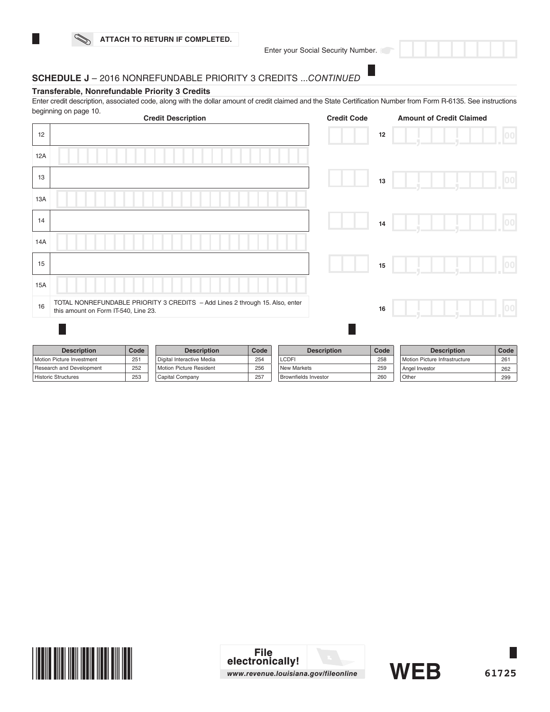

Enter your Social Security Number.

# **SCHEDULE J** – 2016 NONREFUNDABLE PRIORITY 3 CREDITS ...*CONTINUED*

#### **Transferable, Nonrefundable Priority 3 Credits**

Enter credit description, associated code, along with the dollar amount of credit claimed and the State Certification Number from Form R-6135. See instructions beginning on page 10.

|            |                                      |      | <b>Credit Description</b>                                                    |      |                             | <b>Credit Code</b> |      | <b>Amount of Credit Claimed</b> |      |
|------------|--------------------------------------|------|------------------------------------------------------------------------------|------|-----------------------------|--------------------|------|---------------------------------|------|
| 12         |                                      |      |                                                                              |      |                             |                    | 12   |                                 | 00   |
| 12A        |                                      |      |                                                                              |      |                             |                    |      |                                 |      |
| 13         |                                      |      |                                                                              |      |                             |                    | 13   |                                 | 00   |
| 13A        |                                      |      |                                                                              |      |                             |                    |      |                                 |      |
| 14         |                                      |      |                                                                              |      |                             |                    | 14   |                                 | 00   |
| 14A        |                                      |      |                                                                              |      |                             |                    |      |                                 |      |
| 15         |                                      |      |                                                                              |      |                             |                    | 15   |                                 | 00   |
| <b>15A</b> |                                      |      |                                                                              |      |                             |                    |      |                                 |      |
| 16         | this amount on Form IT-540, Line 23. |      | TOTAL NONREFUNDABLE PRIORITY 3 CREDITS - Add Lines 2 through 15. Also, enter |      |                             |                    | 16   |                                 | 00   |
|            |                                      |      |                                                                              |      |                             |                    |      |                                 |      |
|            | <b>Description</b>                   | Code | <b>Description</b>                                                           | Code |                             | <b>Description</b> | Code | <b>Description</b>              | Code |
|            | Motion Picture Investment            | 251  | Digital Interactive Media                                                    | 254  | <b>LCDFI</b>                |                    | 258  | Motion Picture Infrastructure   | 261  |
|            | Research and Development             | 252  | Motion Picture Resident                                                      | 256  | New Markets                 |                    | 259  | Angel Investor                  | 262  |
|            | <b>Historic Structures</b>           | 253  | Capital Company                                                              | 257  | <b>Brownfields Investor</b> |                    | 260  | Other                           | 299  |



**WEB**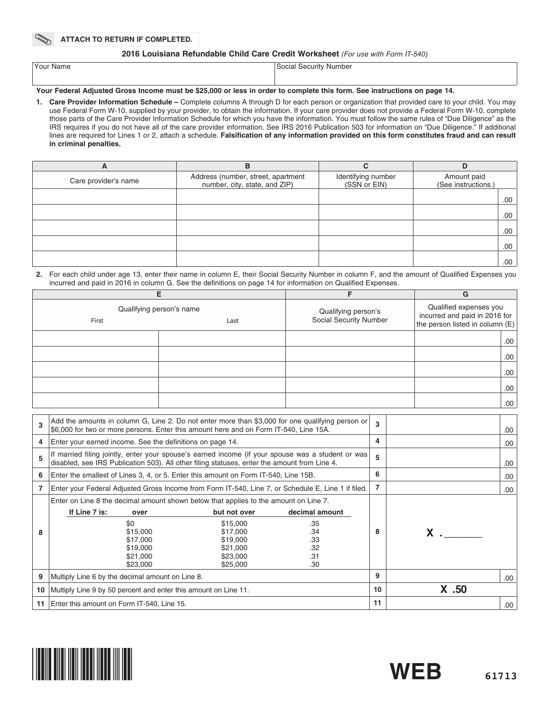#### **2016 Louisiana Refundable Child Care Credit Worksheet** *(For use with Form IT-540)*

| Your Name | Social Security Number |
|-----------|------------------------|
|           |                        |

#### **Your Federal Adjusted Gross Income must be \$25,000 or less in order to complete this form. See instructions on page 14.**

**1. Care Provider Information Schedule –** Complete columns A through D for each person or organization that provided care to your child. You may use Federal Form W-10, supplied by your provider, to obtain the information. If your care provider does not provide a Federal Form W-10, complete those parts of the Care Provider Information Schedule for which you have the information. You must follow the same rules of "Due Diligence" as the IRS requires if you do not have all of the care provider information. See IRS 2016 Publication 503 for information on "Due Diligence." If additional lines are required for Lines 1 or 2, attach a schedule. **Falsification of any information provided on this form constitutes fraud and can result in criminal penalties.**

| $\mathbf{A}$         | в                                                                   | ⌒                                  | D                                  |
|----------------------|---------------------------------------------------------------------|------------------------------------|------------------------------------|
| Care provider's name | Address (number, street, apartment<br>number, city, state, and ZIP) | Identifying number<br>(SSN or EIN) | Amount paid<br>(See instructions.) |
|                      |                                                                     |                                    | .00                                |
|                      |                                                                     |                                    | .00.                               |
|                      |                                                                     |                                    | .00                                |
|                      |                                                                     |                                    | .00.                               |
|                      |                                                                     |                                    | .00                                |

#### **2.** For each child under age 13, enter their name in column E, their Social Security Number in column F, and the amount of Qualified Expenses you incurred and paid in 2016 in column G. See the definitions on page 14 for information on Qualified Expenses.

|                                           |  |                                               | G                                                                                          |  |
|-------------------------------------------|--|-----------------------------------------------|--------------------------------------------------------------------------------------------|--|
| Qualifying person's name<br>First<br>Last |  | Qualifying person's<br>Social Security Number | Qualified expenses you<br>incurred and paid in 2016 for<br>the person listed in column (E) |  |
|                                           |  |                                               |                                                                                            |  |
|                                           |  |                                               | .00.                                                                                       |  |
|                                           |  |                                               | .00.                                                                                       |  |
|                                           |  |                                               | .00.                                                                                       |  |
|                                           |  |                                               | .00.                                                                                       |  |
|                                           |  |                                               | .00.                                                                                       |  |

| 3  | Add the amounts in column G, Line 2. Do not enter more than \$3,000 for one qualifying person or<br>\$6,000 for two or more persons. Enter this amount here and on Form IT-540, Line 15A.         |                                                                                                                                                                              |                                                          |    |                | .00  |
|----|---------------------------------------------------------------------------------------------------------------------------------------------------------------------------------------------------|------------------------------------------------------------------------------------------------------------------------------------------------------------------------------|----------------------------------------------------------|----|----------------|------|
| 4  | Enter your earned income. See the definitions on page 14.                                                                                                                                         |                                                                                                                                                                              |                                                          | 4  |                | .00  |
| 5  | If married filing jointly, enter your spouse's earned income (if your spouse was a student or was<br>disabled, see IRS Publication 503). All other filing statuses, enter the amount from Line 4. |                                                                                                                                                                              |                                                          |    |                | .00  |
| 6  | Enter the smallest of Lines 3, 4, or 5. Enter this amount on Form IT-540, Line 15B.                                                                                                               |                                                                                                                                                                              |                                                          |    |                | .00  |
|    | Enter your Federal Adjusted Gross Income from Form IT-540, Line 7, or Schedule E, Line 1 if filed.                                                                                                |                                                                                                                                                                              |                                                          | 7  |                | .00. |
| 8  | If Line 7 is:<br>over<br>\$0<br>\$15,000<br>\$17,000<br>\$19,000<br>\$21,000<br>\$23,000                                                                                                          | Enter on Line 8 the decimal amount shown below that applies to the amount on Line 7.<br>but not over<br>\$15,000<br>\$17,000<br>\$19,000<br>\$21,000<br>\$23,000<br>\$25,000 | decimal amount<br>.35<br>.34<br>.33<br>.32<br>.31<br>.30 | 8  | $\mathsf{X}$ . |      |
| 9  | Multiply Line 6 by the decimal amount on Line 8.                                                                                                                                                  |                                                                                                                                                                              |                                                          | 9  |                | .00  |
| 10 | Multiply Line 9 by 50 percent and enter this amount on Line 11.                                                                                                                                   |                                                                                                                                                                              |                                                          | 10 | X .50          |      |
| 11 | Enter this amount on Form IT-540, Line 15.                                                                                                                                                        |                                                                                                                                                                              |                                                          | 11 |                | .00  |



**WEB**